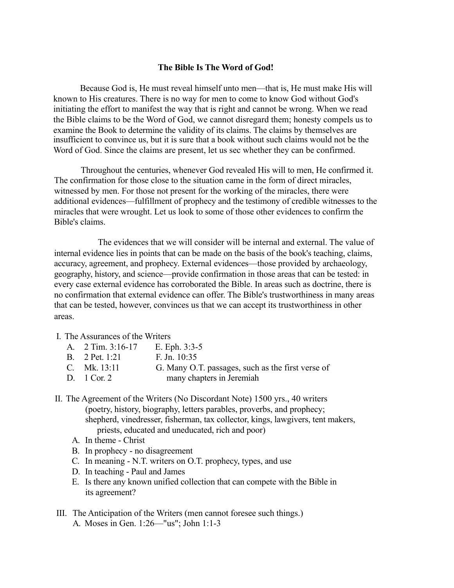## **The Bible Is The Word of God!**

Because God is, He must reveal himself unto men—that is, He must make His will known to His creatures. There is no way for men to come to know God without God's initiating the effort to manifest the way that is right and cannot be wrong. When we read the Bible claims to be the Word of God, we cannot disregard them; honesty compels us to examine the Book to determine the validity of its claims. The claims by themselves are insufficient to convince us, but it is sure that a book without such claims would not be the Word of God. Since the claims are present, let us sec whether they can be confirmed.

Throughout the centuries, whenever God revealed His will to men, He confirmed it. The confirmation for those close to the situation came in the form of direct miracles, witnessed by men. For those not present for the working of the miracles, there were additional evidences—fulfillment of prophecy and the testimony of credible witnesses to the miracles that were wrought. Let us look to some of those other evidences to confirm the Bible's claims.

The evidences that we will consider will be internal and external. The value of internal evidence lies in points that can be made on the basis of the book's teaching, claims, accuracy, agreement, and prophecy. External evidences—those provided by archaeology, geography, history, and science—provide confirmation in those areas that can be tested: in every case external evidence has corroborated the Bible. In areas such as doctrine, there is no confirmation that external evidence can offer. The Bible's trustworthiness in many areas that can be tested, however, convinces us that we can accept its trustworthiness in other areas.

## I. The Assurances of the Writers

| A. $2$ Tim. $3:16-17$ | E. Eph. $3:3-5$                                   |
|-----------------------|---------------------------------------------------|
| B. 2 Pet. 1:21        | F. Jn. $10:35$                                    |
| C. Mk. $13:11$        | G. Many O.T. passages, such as the first verse of |
| D. 1 Cor. 2           | many chapters in Jeremiah                         |

- II. The Agreement of the Writers (No Discordant Note) 1500 yrs., 40 writers (poetry, history, biography, letters parables, proverbs, and prophecy; shepherd, vinedresser, fisherman, tax collector, kings, lawgivers, tent makers, priests, educated and uneducated, rich and poor)
	- A. In theme Christ
	- B. In prophecy no disagreement
	- C. In meaning N.T. writers on O.T. prophecy, types, and use
	- D. In teaching Paul and James
	- E. Is there any known unified collection that can compete with the Bible in its agreement?
- III. The Anticipation of the Writers (men cannot foresee such things.) A. Moses in Gen. 1:26—"us"; John 1:1-3